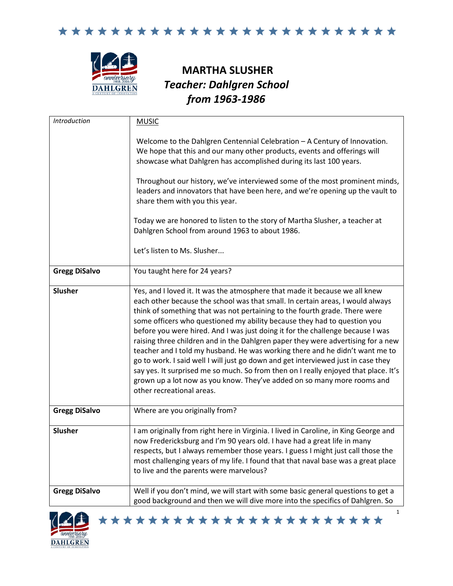



## **MARTHA SLUSHER** *Teacher: Dahlgren School from 1963-1986*

| Introduction         | <b>MUSIC</b>                                                                                                                                                                                                                                                                                                                                                                                                                                                                                                                                                                                                                                                                                                                                                                                                                                                      |
|----------------------|-------------------------------------------------------------------------------------------------------------------------------------------------------------------------------------------------------------------------------------------------------------------------------------------------------------------------------------------------------------------------------------------------------------------------------------------------------------------------------------------------------------------------------------------------------------------------------------------------------------------------------------------------------------------------------------------------------------------------------------------------------------------------------------------------------------------------------------------------------------------|
|                      | Welcome to the Dahlgren Centennial Celebration - A Century of Innovation.<br>We hope that this and our many other products, events and offerings will<br>showcase what Dahlgren has accomplished during its last 100 years.                                                                                                                                                                                                                                                                                                                                                                                                                                                                                                                                                                                                                                       |
|                      | Throughout our history, we've interviewed some of the most prominent minds,<br>leaders and innovators that have been here, and we're opening up the vault to<br>share them with you this year.                                                                                                                                                                                                                                                                                                                                                                                                                                                                                                                                                                                                                                                                    |
|                      | Today we are honored to listen to the story of Martha Slusher, a teacher at<br>Dahlgren School from around 1963 to about 1986.                                                                                                                                                                                                                                                                                                                                                                                                                                                                                                                                                                                                                                                                                                                                    |
|                      | Let's listen to Ms. Slusher                                                                                                                                                                                                                                                                                                                                                                                                                                                                                                                                                                                                                                                                                                                                                                                                                                       |
| <b>Gregg DiSalvo</b> | You taught here for 24 years?                                                                                                                                                                                                                                                                                                                                                                                                                                                                                                                                                                                                                                                                                                                                                                                                                                     |
| <b>Slusher</b>       | Yes, and I loved it. It was the atmosphere that made it because we all knew<br>each other because the school was that small. In certain areas, I would always<br>think of something that was not pertaining to the fourth grade. There were<br>some officers who questioned my ability because they had to question you<br>before you were hired. And I was just doing it for the challenge because I was<br>raising three children and in the Dahlgren paper they were advertising for a new<br>teacher and I told my husband. He was working there and he didn't want me to<br>go to work. I said well I will just go down and get interviewed just in case they<br>say yes. It surprised me so much. So from then on I really enjoyed that place. It's<br>grown up a lot now as you know. They've added on so many more rooms and<br>other recreational areas. |
| <b>Gregg DiSalvo</b> | Where are you originally from?                                                                                                                                                                                                                                                                                                                                                                                                                                                                                                                                                                                                                                                                                                                                                                                                                                    |
| <b>Slusher</b>       | I am originally from right here in Virginia. I lived in Caroline, in King George and<br>now Fredericksburg and I'm 90 years old. I have had a great life in many<br>respects, but I always remember those years. I guess I might just call those the<br>most challenging years of my life. I found that that naval base was a great place<br>to live and the parents were marvelous?                                                                                                                                                                                                                                                                                                                                                                                                                                                                              |
| <b>Gregg DiSalvo</b> | Well if you don't mind, we will start with some basic general questions to get a<br>good background and then we will dive more into the specifics of Dahlgren. So                                                                                                                                                                                                                                                                                                                                                                                                                                                                                                                                                                                                                                                                                                 |

\*\*\*\*\*\*\*\*\*\*\*\*\*\*\*\*\*\*\*\*\*\*\*

1

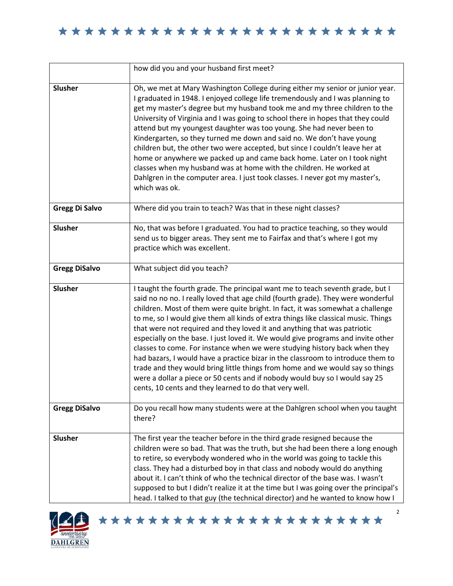|                       | how did you and your husband first meet?                                                                                                                                                                                                                                                                                                                                                                                                                                                                                                                                                                                                                                                                                                                                                                                                                                                              |
|-----------------------|-------------------------------------------------------------------------------------------------------------------------------------------------------------------------------------------------------------------------------------------------------------------------------------------------------------------------------------------------------------------------------------------------------------------------------------------------------------------------------------------------------------------------------------------------------------------------------------------------------------------------------------------------------------------------------------------------------------------------------------------------------------------------------------------------------------------------------------------------------------------------------------------------------|
| <b>Slusher</b>        | Oh, we met at Mary Washington College during either my senior or junior year.<br>I graduated in 1948. I enjoyed college life tremendously and I was planning to<br>get my master's degree but my husband took me and my three children to the<br>University of Virginia and I was going to school there in hopes that they could<br>attend but my youngest daughter was too young. She had never been to<br>Kindergarten, so they turned me down and said no. We don't have young<br>children but, the other two were accepted, but since I couldn't leave her at<br>home or anywhere we packed up and came back home. Later on I took night<br>classes when my husband was at home with the children. He worked at<br>Dahlgren in the computer area. I just took classes. I never got my master's,<br>which was ok.                                                                                  |
| <b>Gregg Di Salvo</b> | Where did you train to teach? Was that in these night classes?                                                                                                                                                                                                                                                                                                                                                                                                                                                                                                                                                                                                                                                                                                                                                                                                                                        |
| <b>Slusher</b>        | No, that was before I graduated. You had to practice teaching, so they would<br>send us to bigger areas. They sent me to Fairfax and that's where I got my<br>practice which was excellent.                                                                                                                                                                                                                                                                                                                                                                                                                                                                                                                                                                                                                                                                                                           |
| <b>Gregg DiSalvo</b>  | What subject did you teach?                                                                                                                                                                                                                                                                                                                                                                                                                                                                                                                                                                                                                                                                                                                                                                                                                                                                           |
| <b>Slusher</b>        | I taught the fourth grade. The principal want me to teach seventh grade, but I<br>said no no no. I really loved that age child (fourth grade). They were wonderful<br>children. Most of them were quite bright. In fact, it was somewhat a challenge<br>to me, so I would give them all kinds of extra things like classical music. Things<br>that were not required and they loved it and anything that was patriotic<br>especially on the base. I just loved it. We would give programs and invite other<br>classes to come. For instance when we were studying history back when they<br>had bazars, I would have a practice bizar in the classroom to introduce them to<br>trade and they would bring little things from home and we would say so things<br>were a dollar a piece or 50 cents and if nobody would buy so I would say 25<br>cents, 10 cents and they learned to do that very well. |
| <b>Gregg DiSalvo</b>  | Do you recall how many students were at the Dahlgren school when you taught<br>there?                                                                                                                                                                                                                                                                                                                                                                                                                                                                                                                                                                                                                                                                                                                                                                                                                 |
| Slusher               | The first year the teacher before in the third grade resigned because the<br>children were so bad. That was the truth, but she had been there a long enough<br>to retire, so everybody wondered who in the world was going to tackle this<br>class. They had a disturbed boy in that class and nobody would do anything<br>about it. I can't think of who the technical director of the base was. I wasn't<br>supposed to but I didn't realize it at the time but I was going over the principal's<br>head. I talked to that guy (the technical director) and he wanted to know how I                                                                                                                                                                                                                                                                                                                 |



\*\*\*\*\*\*\*\*\*\*\*\*\*\*\*\*\*\*\*\*\*\*\*

2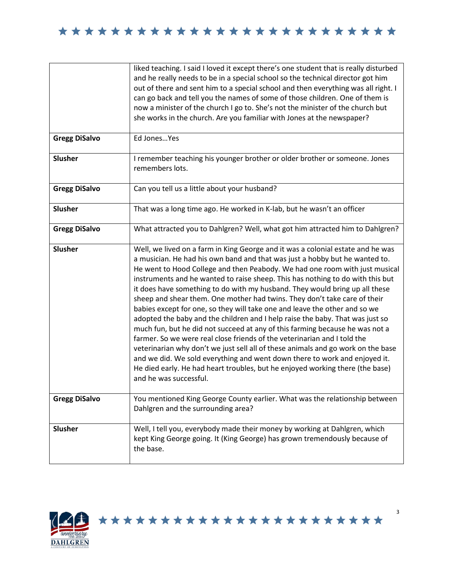| <b>Gregg DiSalvo</b> | liked teaching. I said I loved it except there's one student that is really disturbed<br>and he really needs to be in a special school so the technical director got him<br>out of there and sent him to a special school and then everything was all right. I<br>can go back and tell you the names of some of those children. One of them is<br>now a minister of the church I go to. She's not the minister of the church but<br>she works in the church. Are you familiar with Jones at the newspaper?<br>Ed Jones Yes                                                                                                                                                                                                                                                                                                                                                                                                                                                                                                                                                                          |
|----------------------|-----------------------------------------------------------------------------------------------------------------------------------------------------------------------------------------------------------------------------------------------------------------------------------------------------------------------------------------------------------------------------------------------------------------------------------------------------------------------------------------------------------------------------------------------------------------------------------------------------------------------------------------------------------------------------------------------------------------------------------------------------------------------------------------------------------------------------------------------------------------------------------------------------------------------------------------------------------------------------------------------------------------------------------------------------------------------------------------------------|
| <b>Slusher</b>       | I remember teaching his younger brother or older brother or someone. Jones<br>remembers lots.                                                                                                                                                                                                                                                                                                                                                                                                                                                                                                                                                                                                                                                                                                                                                                                                                                                                                                                                                                                                       |
| <b>Gregg DiSalvo</b> | Can you tell us a little about your husband?                                                                                                                                                                                                                                                                                                                                                                                                                                                                                                                                                                                                                                                                                                                                                                                                                                                                                                                                                                                                                                                        |
| Slusher              | That was a long time ago. He worked in K-lab, but he wasn't an officer                                                                                                                                                                                                                                                                                                                                                                                                                                                                                                                                                                                                                                                                                                                                                                                                                                                                                                                                                                                                                              |
| <b>Gregg DiSalvo</b> | What attracted you to Dahlgren? Well, what got him attracted him to Dahlgren?                                                                                                                                                                                                                                                                                                                                                                                                                                                                                                                                                                                                                                                                                                                                                                                                                                                                                                                                                                                                                       |
| <b>Slusher</b>       | Well, we lived on a farm in King George and it was a colonial estate and he was<br>a musician. He had his own band and that was just a hobby but he wanted to.<br>He went to Hood College and then Peabody. We had one room with just musical<br>instruments and he wanted to raise sheep. This has nothing to do with this but<br>it does have something to do with my husband. They would bring up all these<br>sheep and shear them. One mother had twins. They don't take care of their<br>babies except for one, so they will take one and leave the other and so we<br>adopted the baby and the children and I help raise the baby. That was just so<br>much fun, but he did not succeed at any of this farming because he was not a<br>farmer. So we were real close friends of the veterinarian and I told the<br>veterinarian why don't we just sell all of these animals and go work on the base<br>and we did. We sold everything and went down there to work and enjoyed it.<br>He died early. He had heart troubles, but he enjoyed working there (the base)<br>and he was successful. |
| <b>Gregg DiSalvo</b> | You mentioned King George County earlier. What was the relationship between<br>Dahlgren and the surrounding area?                                                                                                                                                                                                                                                                                                                                                                                                                                                                                                                                                                                                                                                                                                                                                                                                                                                                                                                                                                                   |
| <b>Slusher</b>       | Well, I tell you, everybody made their money by working at Dahlgren, which<br>kept King George going. It (King George) has grown tremendously because of<br>the base.                                                                                                                                                                                                                                                                                                                                                                                                                                                                                                                                                                                                                                                                                                                                                                                                                                                                                                                               |

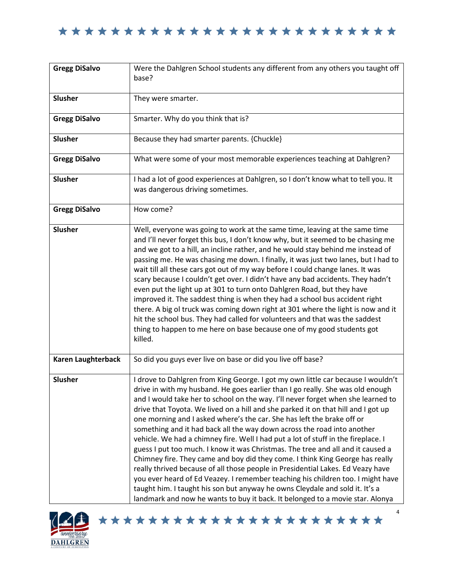| <b>Gregg DiSalvo</b> | Were the Dahlgren School students any different from any others you taught off<br>base?                                                                                                                                                                                                                                                                                                                                                                                                                                                                                                                                                                                                                                                                                                                                                                                                                                                                                                                                                                                                          |
|----------------------|--------------------------------------------------------------------------------------------------------------------------------------------------------------------------------------------------------------------------------------------------------------------------------------------------------------------------------------------------------------------------------------------------------------------------------------------------------------------------------------------------------------------------------------------------------------------------------------------------------------------------------------------------------------------------------------------------------------------------------------------------------------------------------------------------------------------------------------------------------------------------------------------------------------------------------------------------------------------------------------------------------------------------------------------------------------------------------------------------|
| <b>Slusher</b>       | They were smarter.                                                                                                                                                                                                                                                                                                                                                                                                                                                                                                                                                                                                                                                                                                                                                                                                                                                                                                                                                                                                                                                                               |
| <b>Gregg DiSalvo</b> | Smarter. Why do you think that is?                                                                                                                                                                                                                                                                                                                                                                                                                                                                                                                                                                                                                                                                                                                                                                                                                                                                                                                                                                                                                                                               |
| Slusher              | Because they had smarter parents. {Chuckle}                                                                                                                                                                                                                                                                                                                                                                                                                                                                                                                                                                                                                                                                                                                                                                                                                                                                                                                                                                                                                                                      |
| <b>Gregg DiSalvo</b> | What were some of your most memorable experiences teaching at Dahlgren?                                                                                                                                                                                                                                                                                                                                                                                                                                                                                                                                                                                                                                                                                                                                                                                                                                                                                                                                                                                                                          |
| Slusher              | I had a lot of good experiences at Dahlgren, so I don't know what to tell you. It<br>was dangerous driving sometimes.                                                                                                                                                                                                                                                                                                                                                                                                                                                                                                                                                                                                                                                                                                                                                                                                                                                                                                                                                                            |
| <b>Gregg DiSalvo</b> | How come?                                                                                                                                                                                                                                                                                                                                                                                                                                                                                                                                                                                                                                                                                                                                                                                                                                                                                                                                                                                                                                                                                        |
| Slusher              | Well, everyone was going to work at the same time, leaving at the same time<br>and I'll never forget this bus, I don't know why, but it seemed to be chasing me<br>and we got to a hill, an incline rather, and he would stay behind me instead of<br>passing me. He was chasing me down. I finally, it was just two lanes, but I had to<br>wait till all these cars got out of my way before I could change lanes. It was<br>scary because I couldn't get over. I didn't have any bad accidents. They hadn't<br>even put the light up at 301 to turn onto Dahlgren Road, but they have<br>improved it. The saddest thing is when they had a school bus accident right<br>there. A big ol truck was coming down right at 301 where the light is now and it<br>hit the school bus. They had called for volunteers and that was the saddest<br>thing to happen to me here on base because one of my good students got<br>killed.                                                                                                                                                                   |
| Karen Laughterback   | So did you guys ever live on base or did you live off base?                                                                                                                                                                                                                                                                                                                                                                                                                                                                                                                                                                                                                                                                                                                                                                                                                                                                                                                                                                                                                                      |
| Slusher              | I drove to Dahlgren from King George. I got my own little car because I wouldn't<br>drive in with my husband. He goes earlier than I go really. She was old enough<br>and I would take her to school on the way. I'll never forget when she learned to<br>drive that Toyota. We lived on a hill and she parked it on that hill and I got up<br>one morning and I asked where's the car. She has left the brake off or<br>something and it had back all the way down across the road into another<br>vehicle. We had a chimney fire. Well I had put a lot of stuff in the fireplace. I<br>guess I put too much. I know it was Christmas. The tree and all and it caused a<br>Chimney fire. They came and boy did they come. I think King George has really<br>really thrived because of all those people in Presidential Lakes. Ed Veazy have<br>you ever heard of Ed Veazey. I remember teaching his children too. I might have<br>taught him. I taught his son but anyway he owns Cleydale and sold it. It's a<br>landmark and now he wants to buy it back. It belonged to a movie star. Alonya |





4